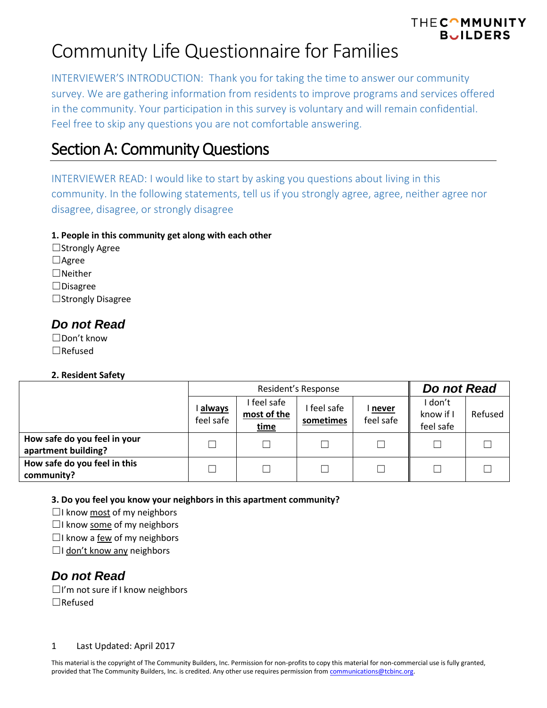INTERVIEWER'S INTRODUCTION: Thank you for taking the time to answer our community survey. We are gathering information from residents to improve programs and services offered in the community. Your participation in this survey is voluntary and will remain confidential. Feel free to skip any questions you are not comfortable answering.

## Section A: Community Questions

INTERVIEWER READ: I would like to start by asking you questions about living in this community. In the following statements, tell us if you strongly agree, agree, neither agree nor disagree, disagree, or strongly disagree

### **1. People in this community get along with each other**

☐Strongly Agree ☐Agree  $\Box$ Neither ☐Disagree ☐Strongly Disagree

## *Do not Read*

☐Don't know ☐Refused

### **2. Resident Safety**

|                                                     |                     | Resident's Response                     | Do not Read              |                           |                                   |         |
|-----------------------------------------------------|---------------------|-----------------------------------------|--------------------------|---------------------------|-----------------------------------|---------|
|                                                     | always<br>feel safe | feel safe<br>most of the<br><u>time</u> | I feel safe<br>sometimes | <u>never</u><br>feel safe | I don't<br>know if I<br>feel safe | Refused |
| How safe do you feel in your<br>apartment building? |                     |                                         |                          |                           |                                   |         |
| How safe do you feel in this<br>community?          |                     |                                         |                          |                           |                                   |         |

**3. Do you feel you know your neighbors in this apartment community?**

 $\Box$ I know most of my neighbors

 $\Box$ I know some of my neighbors

 $\Box$ I know a few of my neighbors

□I don't know any neighbors

## *Do not Read*

☐I'm not sure if I know neighbors ☐Refused

### 1 Last Updated: April 2017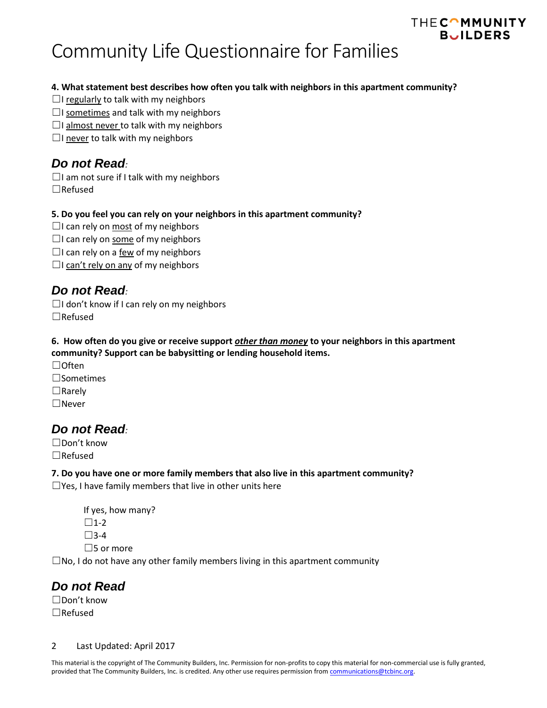# Community Life Questionnaire for Families

### **4. What statement best describes how often you talk with neighbors in this apartment community?**

- $\Box$ I regularly to talk with my neighbors
- $\Box$ I sometimes and talk with my neighbors
- $\Box$ I almost never to talk with my neighbors
- $\Box$ I never to talk with my neighbors

## *Do not Read:*

 $\Box$ I am not sure if I talk with my neighbors ☐Refused

### **5. Do you feel you can rely on your neighbors in this apartment community?**

- $\Box$ I can rely on most of my neighbors  $\Box$ I can rely on some of my neighbors  $\Box$ I can rely on a <u>few</u> of my neighbors
- $\Box$ I can't rely on any of my neighbors

## *Do not Read:*

 $\Box$ I don't know if I can rely on my neighbors ☐Refused

### **6. How often do you give or receive support** *other than money* **to your neighbors in this apartment community? Support can be babysitting or lending household items.**

☐Often ☐Sometimes ☐Rarely ☐Never

## *Do not Read:*

☐Don't know ☐Refused

### **7. Do you have one or more family members that also live in this apartment community?**

 $\Box$ Yes, I have family members that live in other units here

```
If yes, how many?
\square1-2
\square3-4
\square5 or more
```
 $\square$ No, I do not have any other family members living in this apartment community

## *Do not Read*

☐Don't know ☐Refused

### 2 Last Updated: April 2017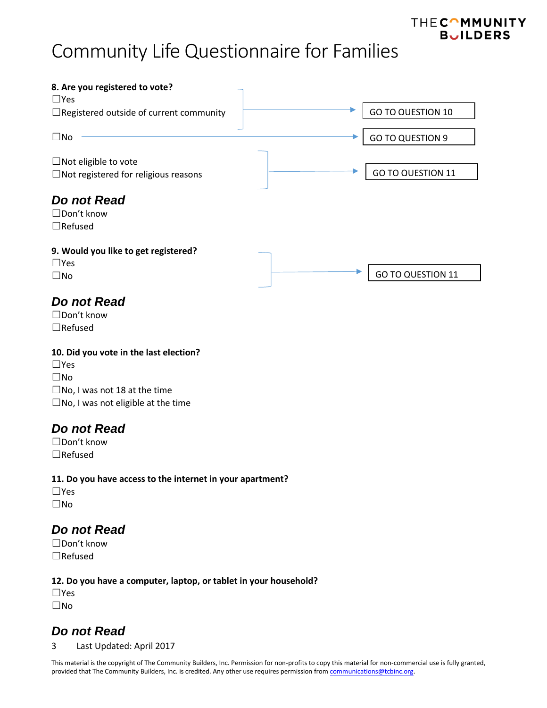

## *Do not Read*

☐Don't know ☐Refused

### **10. Did you vote in the last election?**

☐Yes ☐No  $\square$ No, I was not 18 at the time  $\square$ No, I was not eligible at the time

## *Do not Read*

☐Don't know ☐Refused

### **11. Do you have access to the internet in your apartment?**

☐Yes ☐No

## *Do not Read*

☐Don't know ☐Refused

### **12. Do you have a computer, laptop, or tablet in your household?**

☐Yes ☐No

## *Do not Read*

3 Last Updated: April 2017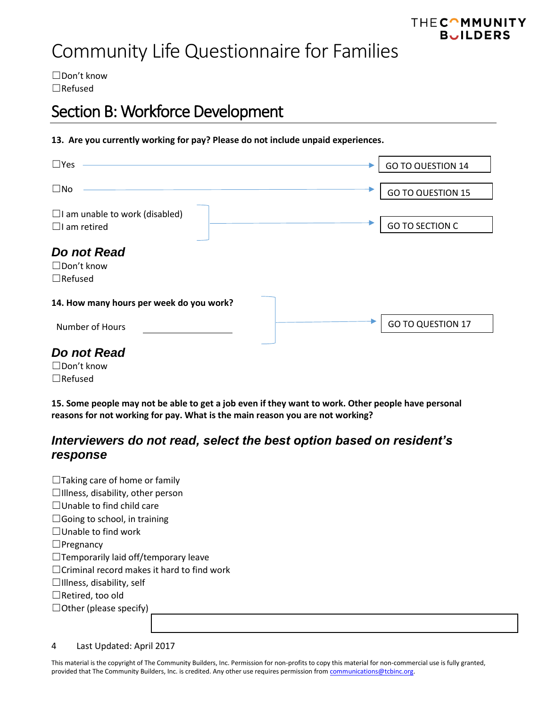☐Don't know ☐Refused

## Section B: Workforce Development

### **13. Are you currently working for pay? Please do not include unpaid experiences.**

| $\square$ Yes                                                | <b>GO TO QUESTION 14</b> |
|--------------------------------------------------------------|--------------------------|
| $\square$ No                                                 | <b>GO TO QUESTION 15</b> |
| $\Box$ I am unable to work (disabled)<br>$\Box$ I am retired | <b>GO TO SECTION C</b>   |
| Do not Read<br>$\Box$ Don't know<br>$\Box$ Refused           |                          |
| 14. How many hours per week do you work?                     |                          |
| Number of Hours                                              | <b>GO TO QUESTION 17</b> |
| Do not Read                                                  |                          |

☐Don't know ☐Refused

**15. Some people may not be able to get a job even if they want to work. Other people have personal reasons for not working for pay. What is the main reason you are not working?**

## *Interviewers do not read, select the best option based on resident's response*

| $\Box$ Taking care of home or family              |
|---------------------------------------------------|
| $\Box$ Illness, disability, other person          |
| $\Box$ Unable to find child care                  |
| $\Box$ Going to school, in training               |
| $\Box$ Unable to find work                        |
| $\Box$ Pregnancy                                  |
| $\Box$ Temporarily laid off/temporary leave       |
| $\Box$ Criminal record makes it hard to find work |
| $\Box$ Illness, disability, self                  |
| $\Box$ Retired, too old                           |
| $\Box$ Other (please specify)                     |
|                                                   |

4 Last Updated: April 2017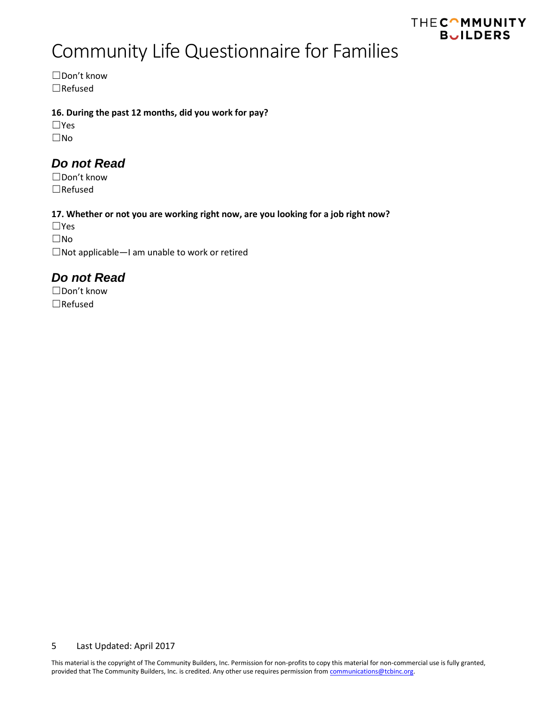# Community Life Questionnaire for Families

☐Don't know ☐Refused

### **16. During the past 12 months, did you work for pay?**

☐Yes ☐No

## *Do not Read*

☐Don't know ☐Refused

### **17. Whether or not you are working right now, are you looking for a job right now?**

☐Yes ☐No ☐Not applicable—I am unable to work or retired

## *Do not Read*

☐Don't know ☐Refused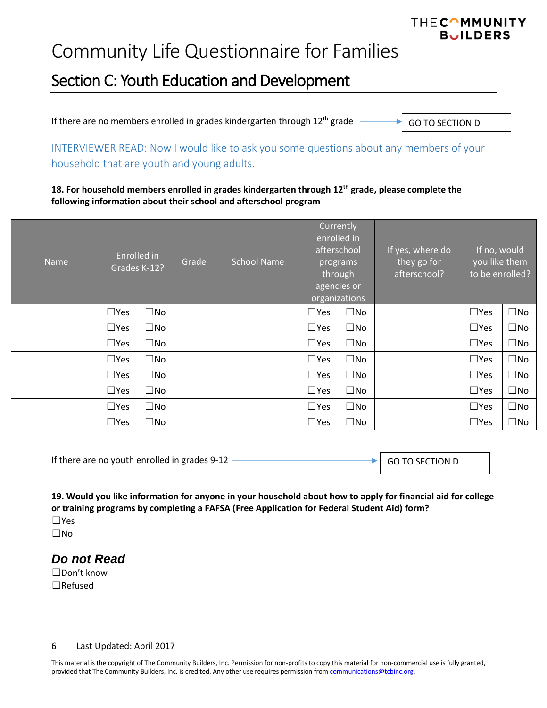## Section C: Youth Education and Development

If there are no members enrolled in grades kindergarten through  $12<sup>th</sup>$  grade GO TO SECTION D

INTERVIEWER READ: Now I would like to ask you some questions about any members of your household that are youth and young adults.

**18. For household members enrolled in grades kindergarten through 12th grade, please complete the following information about their school and afterschool program**

| <b>Name</b> | Enrolled in<br>Grades K-12? |              | Grade | <b>School Name</b> | Currently<br>enrolled in<br>afterschool<br>programs<br>through<br>agencies or<br>organizations |              |  |               | If yes, where do<br>they go for<br>afterschool? | If no, would<br>you like them<br>to be enrolled? |  |
|-------------|-----------------------------|--------------|-------|--------------------|------------------------------------------------------------------------------------------------|--------------|--|---------------|-------------------------------------------------|--------------------------------------------------|--|
|             | $\Box$ Yes                  | $\square$ No |       |                    | $\Box$ Yes                                                                                     | $\square$ No |  | $\square$ Yes | $\square$ No                                    |                                                  |  |
|             | $\Box$ Yes                  | $\square$ No |       |                    | $\square$ Yes                                                                                  | $\square$ No |  | $\square$ Yes | $\square$ No                                    |                                                  |  |
|             | $\Box$ Yes                  | $\square$ No |       |                    | $\Box$ Yes                                                                                     | $\square$ No |  | $\square$ Yes | $\square$ No                                    |                                                  |  |
|             | $\Box$ Yes                  | $\square$ No |       |                    | $\square$ Yes                                                                                  | $\square$ No |  | $\square$ Yes | $\square$ No                                    |                                                  |  |
|             | $\Box$ Yes                  | $\square$ No |       |                    | $\Box$ Yes                                                                                     | $\square$ No |  | $\square$ Yes | $\square$ No                                    |                                                  |  |
|             | $\Box$ Yes                  | $\square$ No |       |                    | $\Box$ Yes                                                                                     | $\square$ No |  | $\square$ Yes | $\square$ No                                    |                                                  |  |
|             | $\Box$ Yes                  | $\square$ No |       |                    | $\Box$ Yes                                                                                     | $\square$ No |  | $\square$ Yes | $\square$ No                                    |                                                  |  |
|             | $\square$ Yes               | $\square$ No |       |                    | $\Box$ Yes                                                                                     | $\square$ No |  | $\square$ Yes | $\square$ No                                    |                                                  |  |

If there are no youth enrolled in grades 9-12

| GO TO SECTION D |  |
|-----------------|--|
|-----------------|--|

THECOMMUNITY **BUILDERS** 

**19. Would you like information for anyone in your household about how to apply for financial aid for college or training programs by completing a FAFSA (Free Application for Federal Student Aid) form?** ☐Yes

☐No

### *Do not Read*

☐Don't know ☐Refused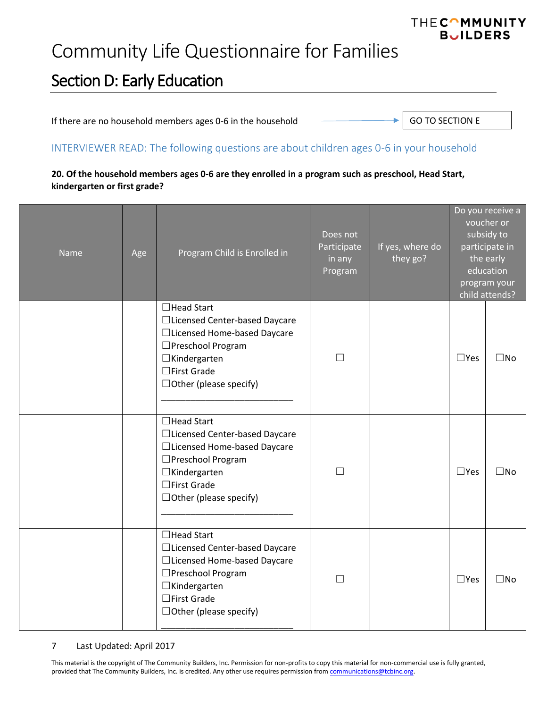# Community Life Questionnaire for Families

## Section D: Early Education

If there are no household members ages 0-6 in the household

GO TO SECTION E

### INTERVIEWER READ: The following questions are about children ages 0-6 in your household

### **20. Of the household members ages 0-6 are they enrolled in a program such as preschool, Head Start, kindergarten or first grade?**

| <b>Name</b> | Age | Program Child is Enrolled in                                                                                                                                                            | Does not<br>Participate<br>in any<br>Program | If yes, where do<br>they go? | Do you receive a<br>voucher or<br>subsidy to<br>participate in<br>the early<br>education<br>program your<br>child attends? |              |
|-------------|-----|-----------------------------------------------------------------------------------------------------------------------------------------------------------------------------------------|----------------------------------------------|------------------------------|----------------------------------------------------------------------------------------------------------------------------|--------------|
|             |     | $\Box$ Head Start<br>□Licensed Center-based Daycare<br>□Licensed Home-based Daycare<br>□Preschool Program<br>$\Box$ Kindergarten<br>$\Box$ First Grade<br>$\Box$ Other (please specify) | $\vert \ \ \vert$                            |                              | $\square$ Yes                                                                                                              | $\square$ No |
|             |     | $\Box$ Head Start<br>□Licensed Center-based Daycare<br>□Licensed Home-based Daycare<br>□Preschool Program<br>$\Box$ Kindergarten<br>$\Box$ First Grade<br>$\Box$ Other (please specify) | П                                            |                              | $\square$ Yes                                                                                                              | $\square$ No |
|             |     | □Head Start<br>□Licensed Center-based Daycare<br>□Licensed Home-based Daycare<br>□ Preschool Program<br>$\Box$ Kindergarten<br>□First Grade<br>$\Box$ Other (please specify)            |                                              |                              | $\Box$ Yes                                                                                                                 | $\square$ No |

#### 7 Last Updated: April 2017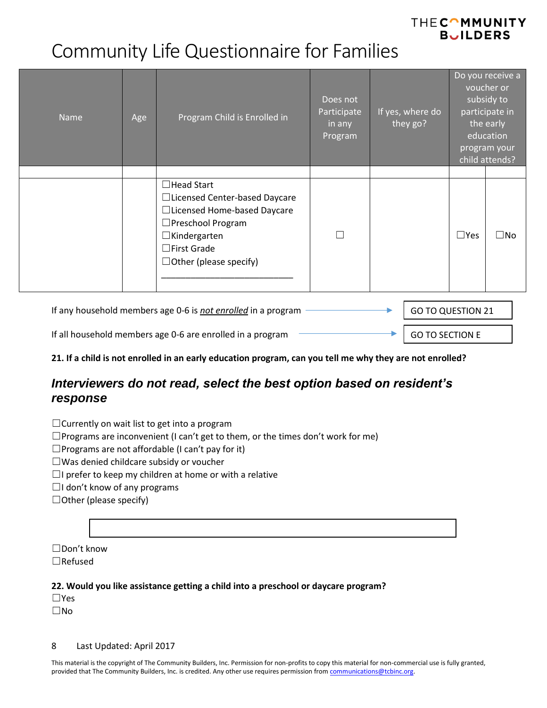# Community Life Questionnaire for Families

| <b>Name</b> | Age | Program Child is Enrolled in                                                                                                                                                             | Does not<br>Participate<br>in any<br>Program | If yes, where do<br>they go? | Do you receive a<br>voucher or<br>subsidy to<br>participate in<br>the early<br>education<br>program your<br>child attends? |              |
|-------------|-----|------------------------------------------------------------------------------------------------------------------------------------------------------------------------------------------|----------------------------------------------|------------------------------|----------------------------------------------------------------------------------------------------------------------------|--------------|
|             |     | $\Box$ Head Start<br>□Licensed Center-based Daycare<br>□Licensed Home-based Daycare<br>□ Preschool Program<br>$\Box$ Kindergarten<br>$\Box$ First Grade<br>$\Box$ Other (please specify) |                                              |                              | $\Box$ Yes                                                                                                                 | $\square$ No |

| If any household members age 0-6 is not enrolled in a program | GO TO QUESTION 21 |                 |
|---------------------------------------------------------------|-------------------|-----------------|
| If all household members age 0-6 are enrolled in a program    |                   | GO TO SECTION E |

**21. If a child is not enrolled in an early education program, can you tell me why they are not enrolled?**

## *Interviewers do not read, select the best option based on resident's response*

☐Currently on wait list to get into a program

 $\Box$ Programs are inconvenient (I can't get to them, or the times don't work for me)

 $\square$ Programs are not affordable (I can't pay for it)

☐Was denied childcare subsidy or voucher

 $\Box$ I prefer to keep my children at home or with a relative

☐I don't know of any programs

 $\Box$  Other (please specify)

☐Don't know ☐Refused

### **22. Would you like assistance getting a child into a preschool or daycare program?**

☐Yes ☐No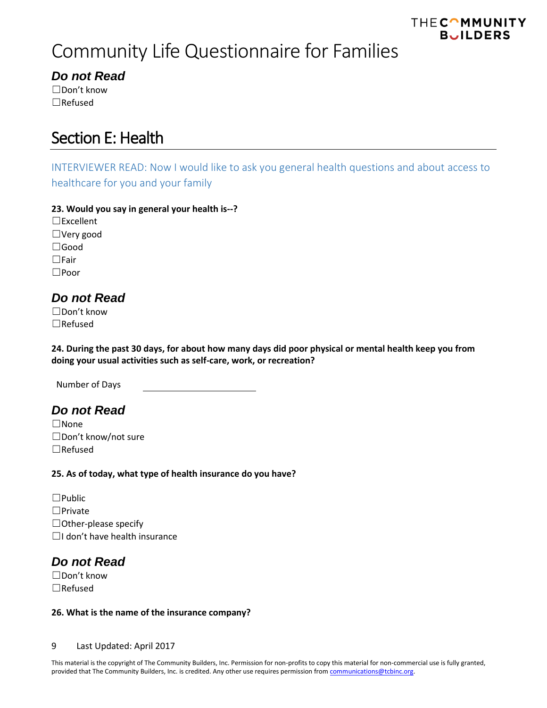# Community Life Questionnaire for Families

## *Do not Read*

☐Don't know ☐Refused

## Section E: Health

INTERVIEWER READ: Now I would like to ask you general health questions and about access to healthcare for you and your family

### **23. Would you say in general your health is--?**

☐Excellent ☐Very good ☐Good ☐Fair ☐Poor

## *Do not Read*

☐Don't know ☐Refused

**24. During the past 30 days, for about how many days did poor physical or mental health keep you from doing your usual activities such as self-care, work, or recreation?**

Number of Days

## *Do not Read*

☐None ☐Don't know/not sure ☐Refused

### **25. As of today, what type of health insurance do you have?**

☐Public ☐Private  $\Box$  Other-please specify ☐I don't have health insurance

## *Do not Read*

☐Don't know ☐Refused

### **26. What is the name of the insurance company?**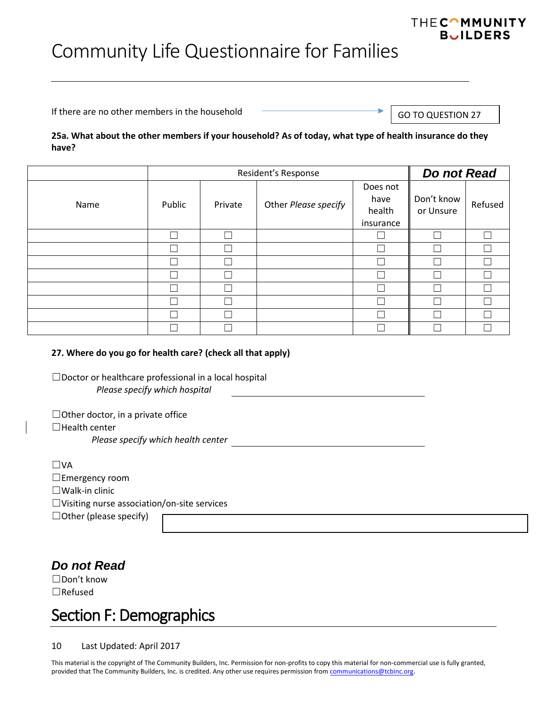If there are no other members in the household

GO TO QUESTION 27

**THECOMMUNITY BUILDERS** 

### **25a. What about the other members if your household? As of today, what type of health insurance do they have?**

|      |        | Do not Read |                      |                                         |                         |         |
|------|--------|-------------|----------------------|-----------------------------------------|-------------------------|---------|
| Name | Public | Private     | Other Please specify | Does not<br>have<br>health<br>insurance | Don't know<br>or Unsure | Refused |
|      | ┍      |             |                      |                                         | Ξ                       |         |
|      |        |             |                      |                                         |                         |         |
|      |        |             |                      |                                         |                         |         |
|      |        |             |                      |                                         |                         |         |
|      |        |             |                      |                                         |                         |         |
|      |        |             |                      |                                         |                         |         |
|      |        |             |                      |                                         |                         |         |
|      |        |             |                      |                                         |                         |         |

### **27. Where do you go for health care? (check all that apply)**

☐Doctor or healthcare professional in a local hospital *Please specify which hospital*

 $\Box$ Other doctor, in a private office  $\Box$ Health center

*Please specify which health center*

| ∣ IVA                                              |
|----------------------------------------------------|
| $\Box$ Emergency room                              |
| $\Box$ Walk-in clinic                              |
| $\Box$ Visiting nurse association/on-site services |
| $\Box$ Other (please specify)                      |

## *Do not Read*

☐Don't know ☐Refused

## Section F: Demographics

10 Last Updated: April 2017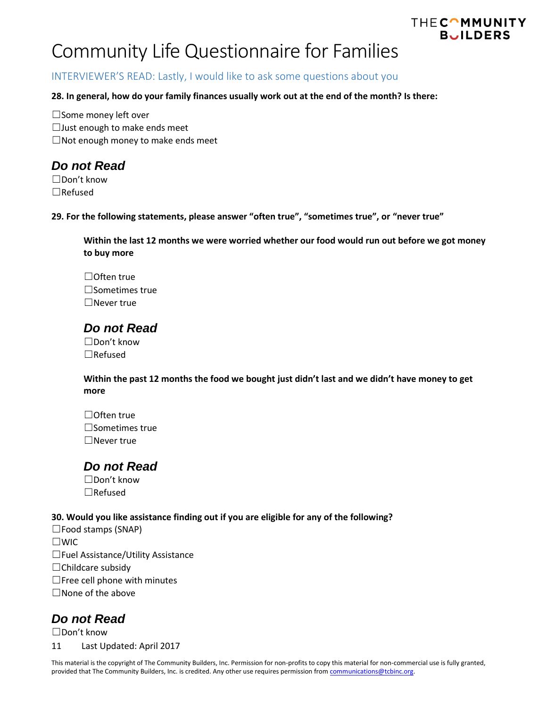### INTERVIEWER'S READ: Lastly, I would like to ask some questions about you

### **28. In general, how do your family finances usually work out at the end of the month? Is there:**

☐Some money left over ☐Just enough to make ends meet  $\Box$ Not enough money to make ends meet

## *Do not Read*

☐Don't know ☐Refused

**29. For the following statements, please answer "often true", "sometimes true", or "never true"**

**Within the last 12 months we were worried whether our food would run out before we got money to buy more**

THECOMMUNITY **BUILDERS** 

☐Often true ☐Sometimes true ☐Never true

## *Do not Read*

☐Don't know ☐Refused

**Within the past 12 months the food we bought just didn't last and we didn't have money to get more**

☐Often true ☐Sometimes true ☐Never true

## *Do not Read*

☐Don't know ☐Refused

#### **30. Would you like assistance finding out if you are eligible for any of the following?**

☐Food stamps (SNAP) ☐WIC ☐Fuel Assistance/Utility Assistance ☐Childcare subsidy  $\Box$  Free cell phone with minutes  $\Box$  None of the above

### *Do not Read*

☐Don't know

11 Last Updated: April 2017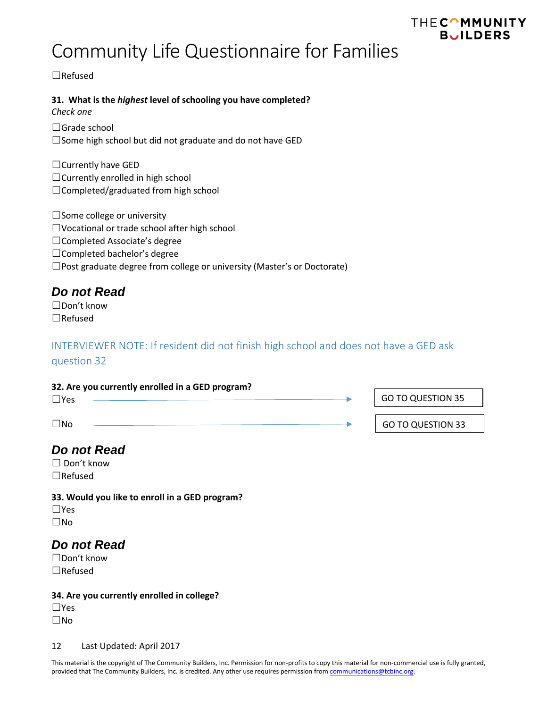# Community Life Questionnaire for Families

☐Refused

### **31. What is the** *highest* **level of schooling you have completed?**

*Check one*

☐Grade school ☐Some high school but did not graduate and do not have GED

☐Currently have GED ☐Currently enrolled in high school ☐Completed/graduated from high school

□Some college or university ☐Vocational or trade school after high school ☐Completed Associate's degree ☐Completed bachelor's degree ☐Post graduate degree from college or university (Master's or Doctorate)

## *Do not Read*

☐Don't know ☐Refused

## INTERVIEWER NOTE: If resident did not finish high school and does not have a GED ask

question 32

| 32. Are you currently enrolled in a GED program? |  |                          |
|--------------------------------------------------|--|--------------------------|
| $\Box$ Yes                                       |  | <b>GO TO QUESTION 35</b> |
| $\Box$ No                                        |  | <b>GO TO QUESTION 33</b> |
|                                                  |  |                          |

## *Do not Read*

☐ Don't know ☐Refused

**33. Would you like to enroll in a GED program?** ☐Yes ☐No

## *Do not Read*

☐Don't know ☐Refused

### **34. Are you currently enrolled in college?**

☐Yes ☐No

#### 12 Last Updated: April 2017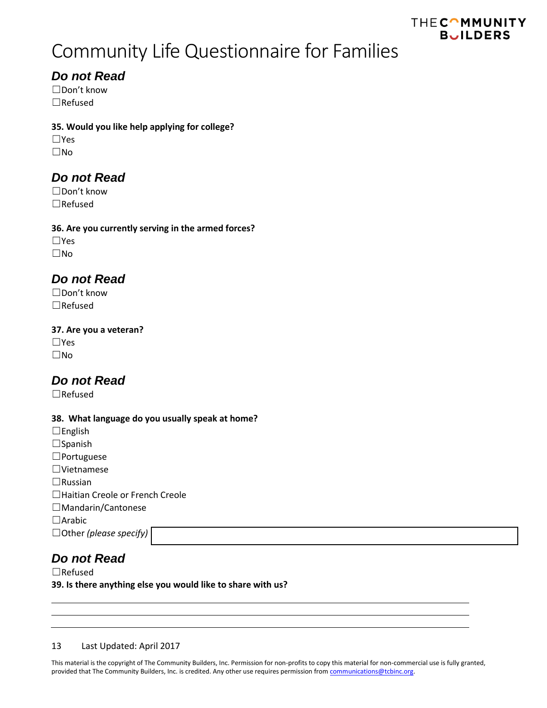# Community Life Questionnaire for Families

## *Do not Read*

☐Don't know ☐Refused

### **35. Would you like help applying for college?**

☐Yes ☐No

## *Do not Read*

☐Don't know ☐Refused

### **36. Are you currently serving in the armed forces?**

☐Yes ☐No

## *Do not Read*

☐Don't know ☐Refused

### **37. Are you a veteran?**

☐Yes ☐No

## *Do not Read*

☐Refused

### **38. What language do you usually speak at home?**

 $□$ English ☐Spanish ☐Portuguese ☐Vietnamese ☐Russian ☐Haitian Creole or French Creole ☐Mandarin/Cantonese ☐Arabic ☐Other *(please specify)*

## *Do not Read*

☐Refused

**39. Is there anything else you would like to share with us?**

### 13 Last Updated: April 2017